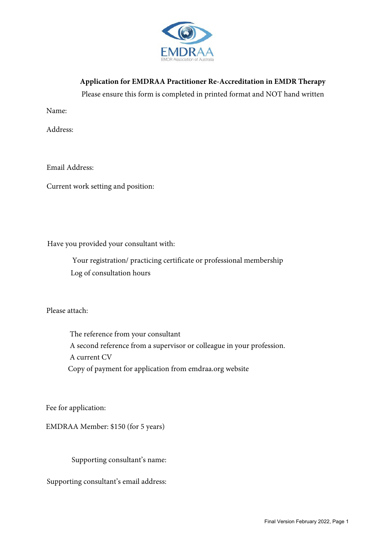

**Application for EMDRAA Practitioner Re-Accreditation in EMDR Therapy** 

Please ensure this form is completed in printed format and NOT hand written

Name:

Address:

Email Address:

Current work setting and position:

Have you provided your consultant with:

Your registration/ practicing certificate or professional membership Log of consultation hours

Please attach:

The reference from your consultant A second reference from a supervisor or colleague in your profession. A current CV Copy of payment for application from emdraa.org website

Fee for application:

EMDRAA Member: \$150 (for 5 years)

Supporting consultant's name:

Supporting consultant's email address: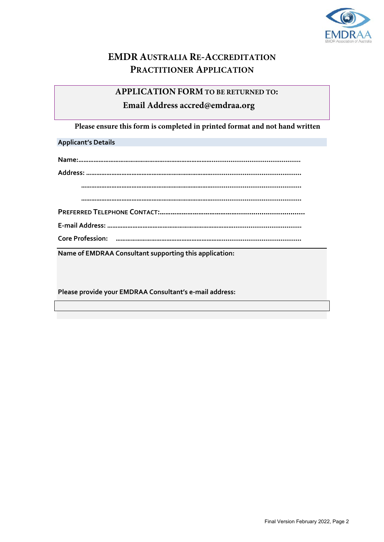

# **EMDR AUSTRALIA RE-ACCREDITATION PRACTITIONER APPLICATION**

# **APPLICATION FORM TO BE RETURNED TO: Email Address accred@emdraa.org**

**Please ensure this form is completed in printed format and not hand written**

## **Applicant's Details**

**Name of EMDRAA Consultant supporting this application:**

**Please provide your EMDRAA Consultant's e-mail address:**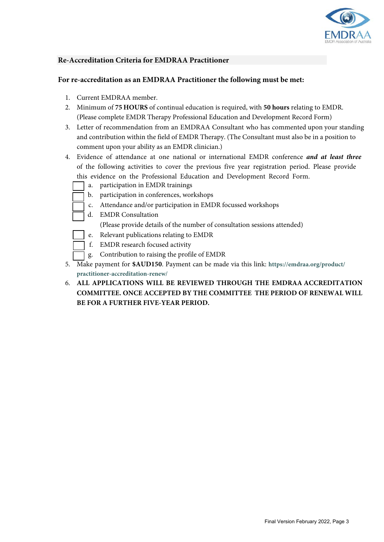

### **Re-Accreditation Criteria for EMDRAA Practitioner**

#### **For re-accreditation as an EMDRAA Practitioner the following must be met:**

- 1. Current EMDRAA member.
- 2. Minimum of **75 HOURS** of continual education is required, with **50 hours** relating to EMDR. (Please complete EMDR Therapy Professional Education and Development Record Form)
- 3. Letter of recommendation from an EMDRAA Consultant who has commented upon your standing and contribution within the field of EMDR Therapy. (The Consultant must also be in a position to comment upon your ability as an EMDR clinician.)
- 4. Evidence of attendance at one national or international EMDR conference *and at least three* of the following activities to cover the previous five year registration period. Please provide this evidence on the Professional Education and Development Record Form.
	- a. participation in EMDR trainings
	- b. participation in conferences, workshops
	- c. Attendance and/or participation in EMDR focussed workshops
	- d. EMDR Consultation
		- (Please provide details of the number of consultation sessions attended)
	- e. Relevant publications relating to EMDR
	- f. EMDR research focused activity
	- g. Contribution to raising the profile of EMDR
- 5. Make payment for **\$AUD150**. Payment can be made via this link: **https://emdraa.org/product/ practitioner-accreditation-renew/**
- 6. **ALL APPLICATIONS WILL BE REVIEWED THROUGH THE EMDRAA ACCREDITATION COMMITTEE. ONCE ACCEPTED BY THE COMMITTEE THE PERIOD OF RENEWAL WILL BE FOR A FURTHER FIVE-YEAR PERIOD.**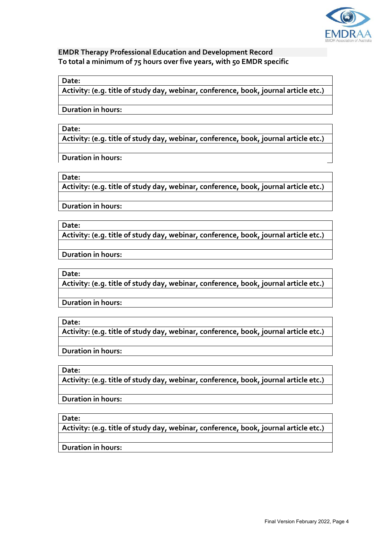

## **EMDR Therapy Professional Education and Development Record To total a minimum of 75 hours over five years, with 50 EMDR specific**

#### **Date:**

**Activity: (e.g. title of study day, webinar, conference, book, journal article etc.)**

**Duration in hours:**

#### **Date:**

**Activity: (e.g. title of study day, webinar, conference, book, journal article etc.)**

**Duration in hours:**

#### **Date:**

**Activity: (e.g. title of study day, webinar, conference, book, journal article etc.)**

**Duration in hours:**

**Date:**

**Activity: (e.g. title of study day, webinar, conference, book, journal article etc.)**

**Duration in hours:**

#### **Date:**

**Activity: (e.g. title of study day, webinar, conference, book, journal article etc.)**

**Duration in hours:**

**Date:**

**Activity: (e.g. title of study day, webinar, conference, book, journal article etc.)**

**Duration in hours:**

**Date:**

**Activity: (e.g. title of study day, webinar, conference, book, journal article etc.)**

**Duration in hours:**

**Date:**

**Activity: (e.g. title of study day, webinar, conference, book, journal article etc.)**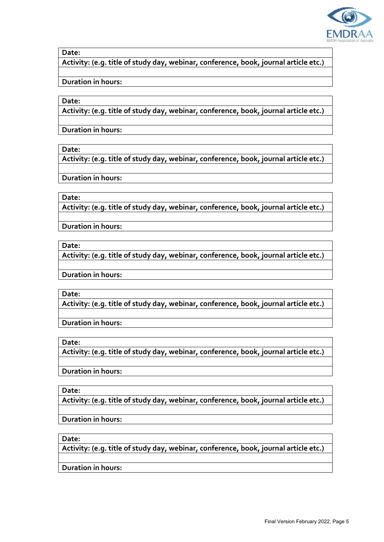

**Activity: (e.g. title of study day, webinar, conference, book, journal article etc.)**

**Duration in hours:**

**Date:**

**Activity: (e.g. title of study day, webinar, conference, book, journal article etc.)**

**Duration in hours:**

**Date:**

**Activity: (e.g. title of study day, webinar, conference, book, journal article etc.)**

**Duration in hours:**

**Date:**

**Activity: (e.g. title of study day, webinar, conference, book, journal article etc.)**

**Duration in hours:**

**Date:**

**Activity: (e.g. title of study day, webinar, conference, book, journal article etc.)**

**Duration in hours:**

**Date:**

**Activity: (e.g. title of study day, webinar, conference, book, journal article etc.)**

**Duration in hours:**

**Date:**

**Activity: (e.g. title of study day, webinar, conference, book, journal article etc.)**

**Duration in hours:**

**Date:**

**Activity: (e.g. title of study day, webinar, conference, book, journal article etc.)**

**Duration in hours:**

**Date:**

**Activity: (e.g. title of study day, webinar, conference, book, journal article etc.)**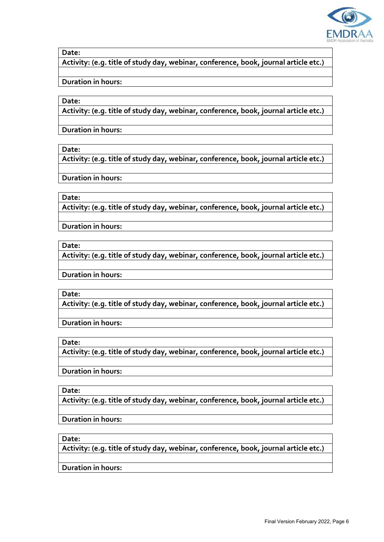

**Activity: (e.g. title of study day, webinar, conference, book, journal article etc.)**

**Duration in hours:**

**Date:**

**Activity: (e.g. title of study day, webinar, conference, book, journal article etc.)**

**Duration in hours:**

**Date:**

**Activity: (e.g. title of study day, webinar, conference, book, journal article etc.)**

**Duration in hours:**

**Date:**

**Activity: (e.g. title of study day, webinar, conference, book, journal article etc.)**

**Duration in hours:**

**Date:**

**Activity: (e.g. title of study day, webinar, conference, book, journal article etc.)**

**Duration in hours:**

**Date:**

**Activity: (e.g. title of study day, webinar, conference, book, journal article etc.)**

**Duration in hours:**

**Date:**

**Activity: (e.g. title of study day, webinar, conference, book, journal article etc.)**

**Duration in hours:**

**Date:**

**Activity: (e.g. title of study day, webinar, conference, book, journal article etc.)**

**Duration in hours:**

**Date:**

**Activity: (e.g. title of study day, webinar, conference, book, journal article etc.)**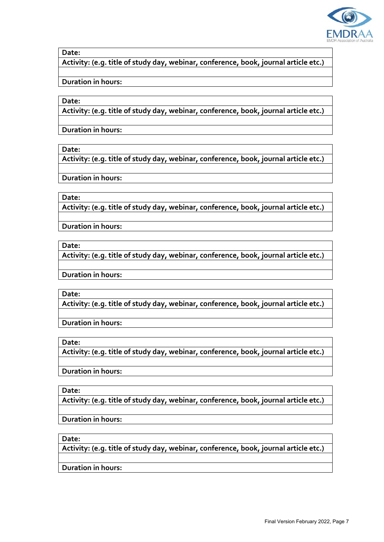

**Activity: (e.g. title of study day, webinar, conference, book, journal article etc.)**

**Duration in hours:**

**Date:**

**Activity: (e.g. title of study day, webinar, conference, book, journal article etc.)**

**Duration in hours:**

**Date:**

**Activity: (e.g. title of study day, webinar, conference, book, journal article etc.)**

**Duration in hours:**

**Date:**

**Activity: (e.g. title of study day, webinar, conference, book, journal article etc.)**

**Duration in hours:**

**Date:**

**Activity: (e.g. title of study day, webinar, conference, book, journal article etc.)**

**Duration in hours:**

**Date:**

**Activity: (e.g. title of study day, webinar, conference, book, journal article etc.)**

**Duration in hours:**

**Date:**

**Activity: (e.g. title of study day, webinar, conference, book, journal article etc.)**

**Duration in hours:**

**Date:**

**Activity: (e.g. title of study day, webinar, conference, book, journal article etc.)**

**Duration in hours:**

**Date:**

**Activity: (e.g. title of study day, webinar, conference, book, journal article etc.)**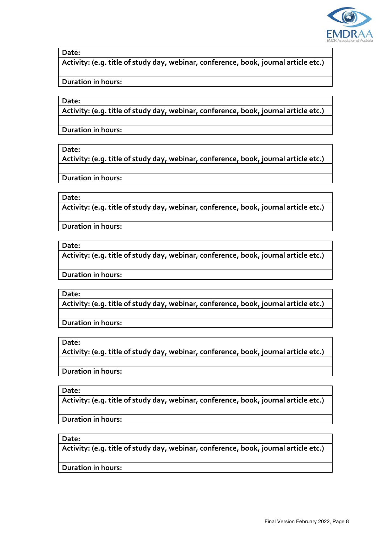

**Activity: (e.g. title of study day, webinar, conference, book, journal article etc.)**

**Duration in hours:**

**Date:**

**Activity: (e.g. title of study day, webinar, conference, book, journal article etc.)**

**Duration in hours:**

**Date:**

**Activity: (e.g. title of study day, webinar, conference, book, journal article etc.)**

**Duration in hours:**

**Date:**

**Activity: (e.g. title of study day, webinar, conference, book, journal article etc.)**

**Duration in hours:**

**Date:**

**Activity: (e.g. title of study day, webinar, conference, book, journal article etc.)**

**Duration in hours:**

**Date:**

**Activity: (e.g. title of study day, webinar, conference, book, journal article etc.)**

**Duration in hours:**

**Date:**

**Activity: (e.g. title of study day, webinar, conference, book, journal article etc.)**

**Duration in hours:**

**Date:**

**Activity: (e.g. title of study day, webinar, conference, book, journal article etc.)**

**Duration in hours:**

**Date:**

**Activity: (e.g. title of study day, webinar, conference, book, journal article etc.)**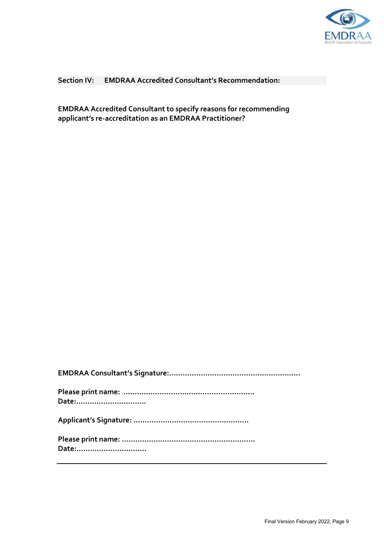

## **Section IV: EMDRAA Accredited Consultant's Recommendation:**

**EMDRAA Accredited Consultant to specify reasons for recommending applicant's re-accreditation as an EMDRAA Practitioner?**

| Date: |
|-------|
|       |
|       |
| Date: |